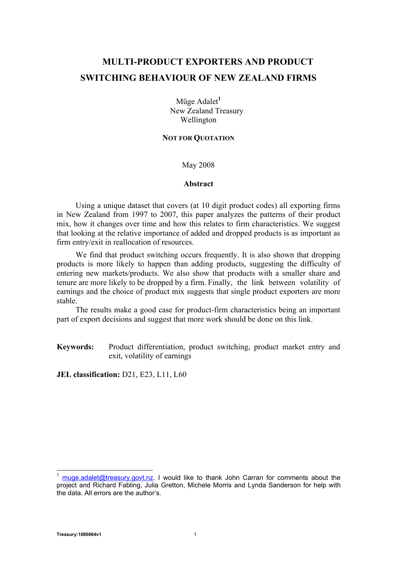# **MULTI-PRODUCT EXPORTERS AND PRODUCT SWITCHING BEHAVIOUR OF NEW ZEALAND FIRMS**

Müge Adalet**<sup>1</sup>** New Zealand Treasury Wellington

#### **NOT FOR QUOTATION**

May 2008

#### **Abstract**

Using a unique dataset that covers (at 10 digit product codes) all exporting firms in New Zealand from 1997 to 2007, this paper analyzes the patterns of their product mix, how it changes over time and how this relates to firm characteristics. We suggest that looking at the relative importance of added and dropped products is as important as firm entry/exit in reallocation of resources.

We find that product switching occurs frequently. It is also shown that dropping products is more likely to happen than adding products, suggesting the difficulty of entering new markets/products. We also show that products with a smaller share and tenure are more likely to be dropped by a firm. Finally, the link between volatility of earnings and the choice of product mix suggests that single product exporters are more stable.

The results make a good case for product-firm characteristics being an important part of export decisions and suggest that more work should be done on this link.

**Keywords:** Product differentiation, product switching, product market entry and exit, volatility of earnings

**JEL classification:** D21, E23, L11, L60

į

muge.adalet@treasury.govt.nz. I would like to thank John Carran for comments about the project and Richard Fabling, Julia Gretton, Michele Morris and Lynda Sanderson for help with the data. All errors are the author's.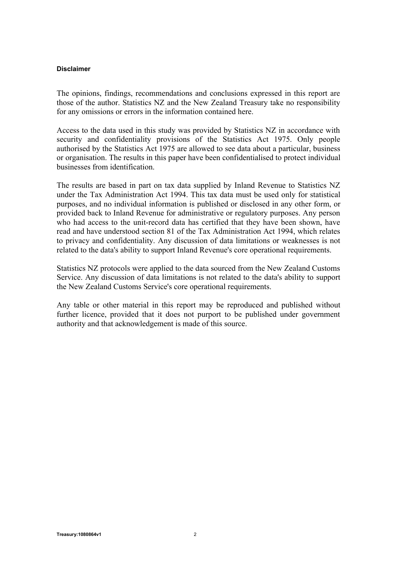### **Disclaimer**

The opinions, findings, recommendations and conclusions expressed in this report are those of the author. Statistics NZ and the New Zealand Treasury take no responsibility for any omissions or errors in the information contained here.

Access to the data used in this study was provided by Statistics NZ in accordance with security and confidentiality provisions of the Statistics Act 1975. Only people authorised by the Statistics Act 1975 are allowed to see data about a particular, business or organisation. The results in this paper have been confidentialised to protect individual businesses from identification.

The results are based in part on tax data supplied by Inland Revenue to Statistics NZ under the Tax Administration Act 1994. This tax data must be used only for statistical purposes, and no individual information is published or disclosed in any other form, or provided back to Inland Revenue for administrative or regulatory purposes. Any person who had access to the unit-record data has certified that they have been shown, have read and have understood section 81 of the Tax Administration Act 1994, which relates to privacy and confidentiality. Any discussion of data limitations or weaknesses is not related to the data's ability to support Inland Revenue's core operational requirements.

Statistics NZ protocols were applied to the data sourced from the New Zealand Customs Service. Any discussion of data limitations is not related to the data's ability to support the New Zealand Customs Service's core operational requirements.

Any table or other material in this report may be reproduced and published without further licence, provided that it does not purport to be published under government authority and that acknowledgement is made of this source.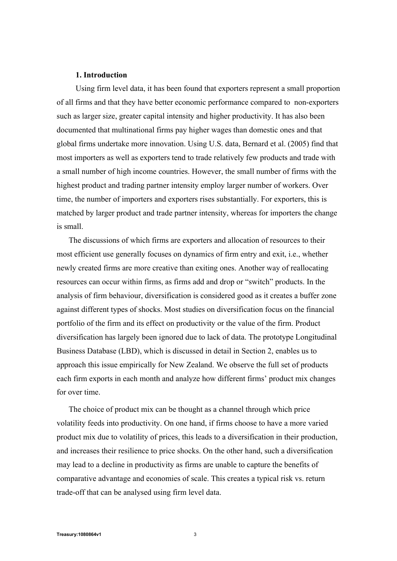#### **1. Introduction**

Using firm level data, it has been found that exporters represent a small proportion of all firms and that they have better economic performance compared to non-exporters such as larger size, greater capital intensity and higher productivity. It has also been documented that multinational firms pay higher wages than domestic ones and that global firms undertake more innovation. Using U.S. data, Bernard et al. (2005) find that most importers as well as exporters tend to trade relatively few products and trade with a small number of high income countries. However, the small number of firms with the highest product and trading partner intensity employ larger number of workers. Over time, the number of importers and exporters rises substantially. For exporters, this is matched by larger product and trade partner intensity, whereas for importers the change is small.

The discussions of which firms are exporters and allocation of resources to their most efficient use generally focuses on dynamics of firm entry and exit, i.e., whether newly created firms are more creative than exiting ones. Another way of reallocating resources can occur within firms, as firms add and drop or "switch" products. In the analysis of firm behaviour, diversification is considered good as it creates a buffer zone against different types of shocks. Most studies on diversification focus on the financial portfolio of the firm and its effect on productivity or the value of the firm. Product diversification has largely been ignored due to lack of data. The prototype Longitudinal Business Database (LBD), which is discussed in detail in Section 2, enables us to approach this issue empirically for New Zealand. We observe the full set of products each firm exports in each month and analyze how different firms' product mix changes for over time.

The choice of product mix can be thought as a channel through which price volatility feeds into productivity. On one hand, if firms choose to have a more varied product mix due to volatility of prices, this leads to a diversification in their production, and increases their resilience to price shocks. On the other hand, such a diversification may lead to a decline in productivity as firms are unable to capture the benefits of comparative advantage and economies of scale. This creates a typical risk vs. return trade-off that can be analysed using firm level data.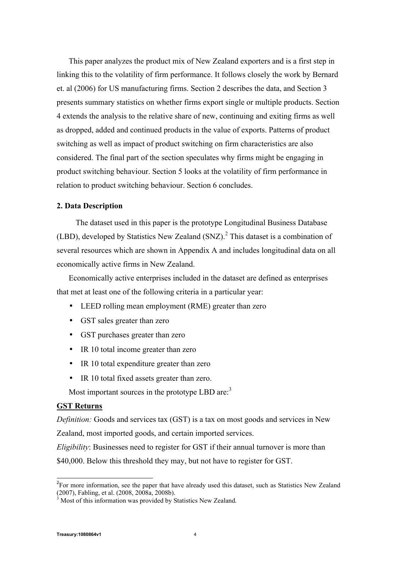This paper analyzes the product mix of New Zealand exporters and is a first step in linking this to the volatility of firm performance. It follows closely the work by Bernard et. al (2006) for US manufacturing firms. Section 2 describes the data, and Section 3 presents summary statistics on whether firms export single or multiple products. Section 4 extends the analysis to the relative share of new, continuing and exiting firms as well as dropped, added and continued products in the value of exports. Patterns of product switching as well as impact of product switching on firm characteristics are also considered. The final part of the section speculates why firms might be engaging in product switching behaviour. Section 5 looks at the volatility of firm performance in relation to product switching behaviour. Section 6 concludes.

#### **2. Data Description**

The dataset used in this paper is the prototype Longitudinal Business Database (LBD), developed by Statistics New Zealand  $(SNZ)$ .<sup>2</sup> This dataset is a combination of several resources which are shown in Appendix A and includes longitudinal data on all economically active firms in New Zealand.

Economically active enterprises included in the dataset are defined as enterprises that met at least one of the following criteria in a particular year:

- LEED rolling mean employment (RME) greater than zero
- GST sales greater than zero
- GST purchases greater than zero
- IR 10 total income greater than zero
- IR 10 total expenditure greater than zero
- IR 10 total fixed assets greater than zero.

Most important sources in the prototype LBD are:<sup>3</sup>

## **GST Returns**

*Definition:* Goods and services tax (GST) is a tax on most goods and services in New Zealand, most imported goods, and certain imported services.

*Eligibility*: Businesses need to register for GST if their annual turnover is more than \$40,000. Below this threshold they may, but not have to register for GST.

ŧ

<sup>&</sup>lt;sup>2</sup>For more information, see the paper that have already used this dataset, such as Statistics New Zealand (2007), Fabling, et al. (2008, 2008a, 2008b).

 $3$  Most of this information was provided by Statistics New Zealand.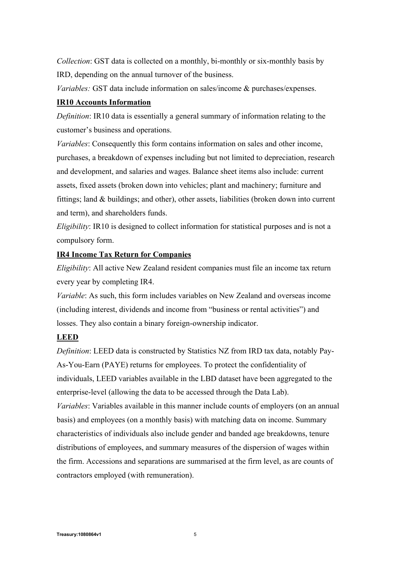*Collection*: GST data is collected on a monthly, bi-monthly or six-monthly basis by IRD, depending on the annual turnover of the business.

*Variables:* GST data include information on sales/income & purchases/expenses.

# **IR10 Accounts Information**

*Definition*: IR10 data is essentially a general summary of information relating to the customer's business and operations.

*Variables*: Consequently this form contains information on sales and other income, purchases, a breakdown of expenses including but not limited to depreciation, research and development, and salaries and wages. Balance sheet items also include: current assets, fixed assets (broken down into vehicles; plant and machinery; furniture and fittings; land & buildings; and other), other assets, liabilities (broken down into current and term), and shareholders funds.

*Eligibility*: IR10 is designed to collect information for statistical purposes and is not a compulsory form.

# **IR4 Income Tax Return for Companies**

*Eligibility*: All active New Zealand resident companies must file an income tax return every year by completing IR4.

*Variable*: As such, this form includes variables on New Zealand and overseas income (including interest, dividends and income from "business or rental activities") and losses. They also contain a binary foreign-ownership indicator.

## **LEED**

*Definition*: LEED data is constructed by Statistics NZ from IRD tax data, notably Pay-As-You-Earn (PAYE) returns for employees. To protect the confidentiality of individuals, LEED variables available in the LBD dataset have been aggregated to the enterprise-level (allowing the data to be accessed through the Data Lab). *Variables*: Variables available in this manner include counts of employers (on an annual basis) and employees (on a monthly basis) with matching data on income. Summary characteristics of individuals also include gender and banded age breakdowns, tenure distributions of employees, and summary measures of the dispersion of wages within the firm. Accessions and separations are summarised at the firm level, as are counts of contractors employed (with remuneration).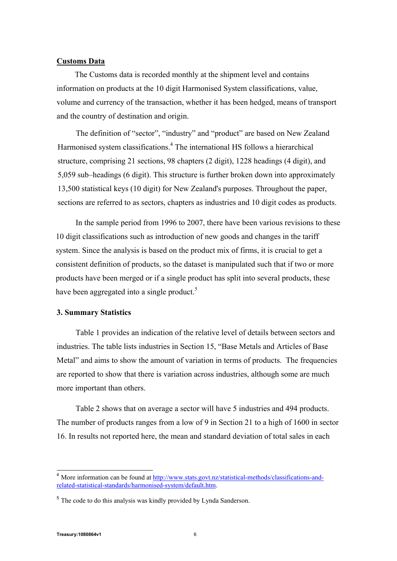### **Customs Data**

The Customs data is recorded monthly at the shipment level and contains information on products at the 10 digit Harmonised System classifications, value, volume and currency of the transaction, whether it has been hedged, means of transport and the country of destination and origin.

The definition of "sector", "industry" and "product" are based on New Zealand Harmonised system classifications.<sup>4</sup> The international HS follows a hierarchical structure, comprising 21 sections, 98 chapters (2 digit), 1228 headings (4 digit), and 5,059 sub–headings (6 digit). This structure is further broken down into approximately 13,500 statistical keys (10 digit) for New Zealand's purposes. Throughout the paper, sections are referred to as sectors, chapters as industries and 10 digit codes as products.

In the sample period from 1996 to 2007, there have been various revisions to these 10 digit classifications such as introduction of new goods and changes in the tariff system. Since the analysis is based on the product mix of firms, it is crucial to get a consistent definition of products, so the dataset is manipulated such that if two or more products have been merged or if a single product has split into several products, these have been aggregated into a single product.<sup>5</sup>

#### **3. Summary Statistics**

Table 1 provides an indication of the relative level of details between sectors and industries. The table lists industries in Section 15, "Base Metals and Articles of Base Metal" and aims to show the amount of variation in terms of products. The frequencies are reported to show that there is variation across industries, although some are much more important than others.

Table 2 shows that on average a sector will have 5 industries and 494 products. The number of products ranges from a low of 9 in Section 21 to a high of 1600 in sector 16. In results not reported here, the mean and standard deviation of total sales in each

j

<sup>&</sup>lt;sup>4</sup> More information can be found at http://www.stats.govt.nz/statistical-methods/classifications-andrelated-statistical-standards/harmonised-system/default.htm.

<sup>&</sup>lt;sup>5</sup> The code to do this analysis was kindly provided by Lynda Sanderson.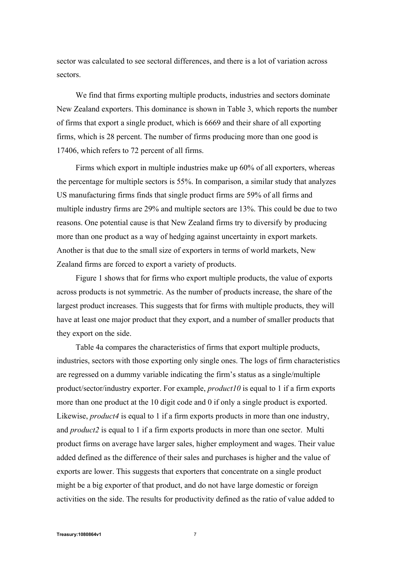sector was calculated to see sectoral differences, and there is a lot of variation across sectors.

We find that firms exporting multiple products, industries and sectors dominate New Zealand exporters. This dominance is shown in Table 3, which reports the number of firms that export a single product, which is 6669 and their share of all exporting firms, which is 28 percent. The number of firms producing more than one good is 17406, which refers to 72 percent of all firms.

Firms which export in multiple industries make up 60% of all exporters, whereas the percentage for multiple sectors is 55%. In comparison, a similar study that analyzes US manufacturing firms finds that single product firms are 59% of all firms and multiple industry firms are 29% and multiple sectors are 13%. This could be due to two reasons. One potential cause is that New Zealand firms try to diversify by producing more than one product as a way of hedging against uncertainty in export markets. Another is that due to the small size of exporters in terms of world markets, New Zealand firms are forced to export a variety of products.

Figure 1 shows that for firms who export multiple products, the value of exports across products is not symmetric. As the number of products increase, the share of the largest product increases. This suggests that for firms with multiple products, they will have at least one major product that they export, and a number of smaller products that they export on the side.

Table 4a compares the characteristics of firms that export multiple products, industries, sectors with those exporting only single ones. The logs of firm characteristics are regressed on a dummy variable indicating the firm's status as a single/multiple product/sector/industry exporter. For example, *product10* is equal to 1 if a firm exports more than one product at the 10 digit code and 0 if only a single product is exported. Likewise, *product* 4 is equal to 1 if a firm exports products in more than one industry, and *product2* is equal to 1 if a firm exports products in more than one sector. Multi product firms on average have larger sales, higher employment and wages. Their value added defined as the difference of their sales and purchases is higher and the value of exports are lower. This suggests that exporters that concentrate on a single product might be a big exporter of that product, and do not have large domestic or foreign activities on the side. The results for productivity defined as the ratio of value added to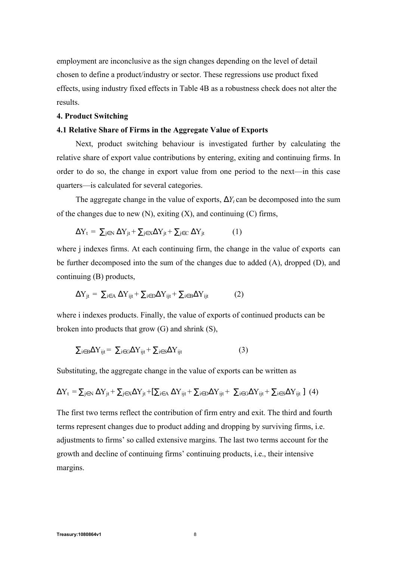employment are inconclusive as the sign changes depending on the level of detail chosen to define a product/industry or sector. These regressions use product fixed effects, using industry fixed effects in Table 4B as a robustness check does not alter the results.

#### **4. Product Switching**

#### **4.1 Relative Share of Firms in the Aggregate Value of Exports**

Next, product switching behaviour is investigated further by calculating the relative share of export value contributions by entering, exiting and continuing firms. In order to do so, the change in export value from one period to the next—in this case quarters—is calculated for several categories.

The aggregate change in the value of exports,  $DY_t$  can be decomposed into the sum of the changes due to new  $(N)$ , exiting  $(X)$ , and continuing  $(C)$  firms,

$$
\Delta Y_t = \sum_{j \in N} \Delta Y_{jt} + \sum_{j \in X} \Delta Y_{jt} + \sum_{j \in C} \Delta Y_{jt}
$$
 (1)

where *j* indexes firms. At each continuing firm, the change in the value of exports can be further decomposed into the sum of the changes due to added (A), dropped (D), and continuing (B) products,

$$
\Delta Y_{jt} = \sum_{i \in A} \Delta Y_{ijt} + \sum_{i \in D} \Delta Y_{ijt} + \sum_{i \in B} \Delta Y_{ijt}
$$
 (2)

where i indexes products. Finally, the value of exports of continued products can be broken into products that grow (G) and shrink (S),

$$
\sum_{i \in B} \Delta Y_{ijt} = \sum_{i \in G} \Delta Y_{ijt} + \sum_{i \in S} \Delta Y_{ijt}
$$
 (3)

Substituting, the aggregate change in the value of exports can be written as

$$
\Delta Y_t = \sum\nolimits_{j \in N} {\Delta Y_{jt}} + \sum\nolimits_{j \in X} {\Delta Y_{jt}} + [\sum\nolimits_{i \in A} {\Delta Y_{ijt}} + \sum\nolimits_{i \in D} {\Delta Y_{ijt}} + \sum\nolimits_{i \in G} {\Delta Y_{ijt}} + \sum\nolimits_{i \in S} {\Delta Y_{ijt}} ] \tag{4}
$$

The first two terms reflect the contribution of firm entry and exit. The third and fourth terms represent changes due to product adding and dropping by surviving firms, i.e. adjustments to firms' so called extensive margins. The last two terms account for the growth and decline of continuing firms' continuing products, i.e., their intensive margins.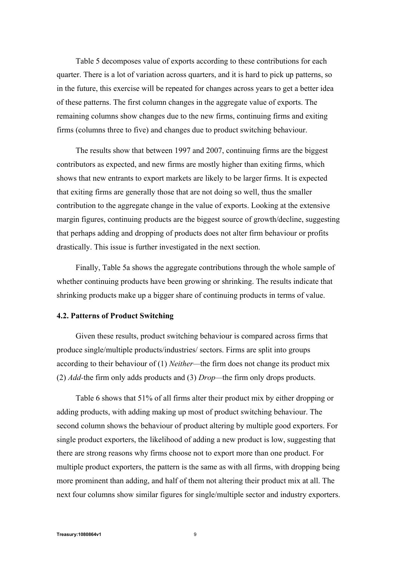Table 5 decomposes value of exports according to these contributions for each quarter. There is a lot of variation across quarters, and it is hard to pick up patterns, so in the future, this exercise will be repeated for changes across years to get a better idea of these patterns. The first column changes in the aggregate value of exports. The remaining columns show changes due to the new firms, continuing firms and exiting firms (columns three to five) and changes due to product switching behaviour.

The results show that between 1997 and 2007, continuing firms are the biggest contributors as expected, and new firms are mostly higher than exiting firms, which shows that new entrants to export markets are likely to be larger firms. It is expected that exiting firms are generally those that are not doing so well, thus the smaller contribution to the aggregate change in the value of exports. Looking at the extensive margin figures, continuing products are the biggest source of growth/decline, suggesting that perhaps adding and dropping of products does not alter firm behaviour or profits drastically. This issue is further investigated in the next section.

Finally, Table 5a shows the aggregate contributions through the whole sample of whether continuing products have been growing or shrinking. The results indicate that shrinking products make up a bigger share of continuing products in terms of value.

#### **4.2. Patterns of Product Switching**

Given these results, product switching behaviour is compared across firms that produce single/multiple products/industries/ sectors. Firms are split into groups according to their behaviour of (1) *Neither—*the firm does not change its product mix (2) *Add-*the firm only adds products and (3) *Drop—*the firm only drops products.

Table 6 shows that 51% of all firms alter their product mix by either dropping or adding products, with adding making up most of product switching behaviour. The second column shows the behaviour of product altering by multiple good exporters. For single product exporters, the likelihood of adding a new product is low, suggesting that there are strong reasons why firms choose not to export more than one product. For multiple product exporters, the pattern is the same as with all firms, with dropping being more prominent than adding, and half of them not altering their product mix at all. The next four columns show similar figures for single/multiple sector and industry exporters.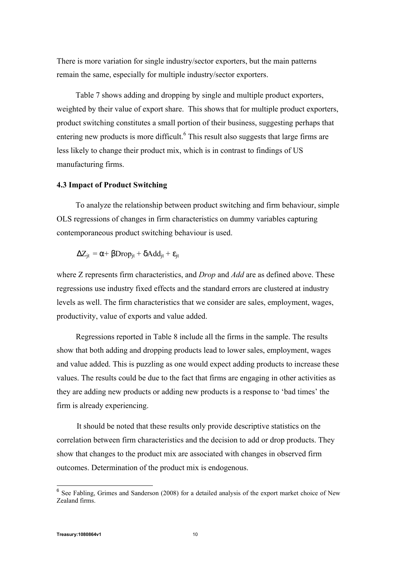There is more variation for single industry/sector exporters, but the main patterns remain the same, especially for multiple industry/sector exporters.

Table 7 shows adding and dropping by single and multiple product exporters, weighted by their value of export share. This shows that for multiple product exporters, product switching constitutes a small portion of their business, suggesting perhaps that entering new products is more difficult.<sup>6</sup> This result also suggests that large firms are less likely to change their product mix, which is in contrast to findings of US manufacturing firms.

### **4.3 Impact of Product Switching**

To analyze the relationship between product switching and firm behaviour, simple OLS regressions of changes in firm characteristics on dummy variables capturing contemporaneous product switching behaviour is used.

$$
\Delta Z_{jt} = \alpha + \beta Drop_{jt} + \delta Add_{jt} + \varepsilon_{jt}
$$

where Z represents firm characteristics, and *Drop* and *Add* are as defined above. These regressions use industry fixed effects and the standard errors are clustered at industry levels as well. The firm characteristics that we consider are sales, employment, wages, productivity, value of exports and value added.

Regressions reported in Table 8 include all the firms in the sample. The results show that both adding and dropping products lead to lower sales, employment, wages and value added. This is puzzling as one would expect adding products to increase these values. The results could be due to the fact that firms are engaging in other activities as they are adding new products or adding new products is a response to 'bad times' the firm is already experiencing.

It should be noted that these results only provide descriptive statistics on the correlation between firm characteristics and the decision to add or drop products. They show that changes to the product mix are associated with changes in observed firm outcomes. Determination of the product mix is endogenous.

<sup>&</sup>lt;sup>6</sup> See Fabling, Grimes and Sanderson (2008) for a detailed analysis of the export market choice of New Zealand firms.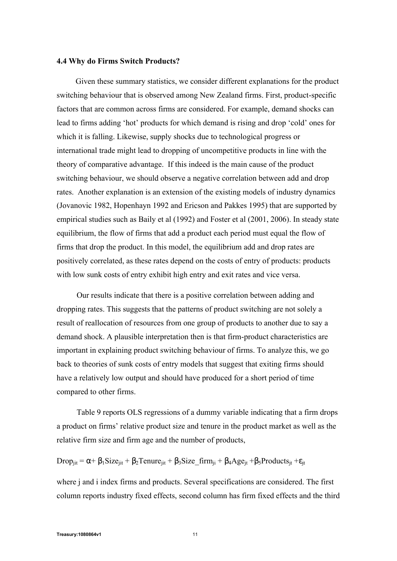#### **4.4 Why do Firms Switch Products?**

Given these summary statistics, we consider different explanations for the product switching behaviour that is observed among New Zealand firms. First, product-specific factors that are common across firms are considered. For example, demand shocks can lead to firms adding 'hot' products for which demand is rising and drop 'cold' ones for which it is falling. Likewise, supply shocks due to technological progress or international trade might lead to dropping of uncompetitive products in line with the theory of comparative advantage. If this indeed is the main cause of the product switching behaviour, we should observe a negative correlation between add and drop rates. Another explanation is an extension of the existing models of industry dynamics (Jovanovic 1982, Hopenhayn 1992 and Ericson and Pakkes 1995) that are supported by empirical studies such as Baily et al (1992) and Foster et al (2001, 2006). In steady state equilibrium, the flow of firms that add a product each period must equal the flow of firms that drop the product. In this model, the equilibrium add and drop rates are positively correlated, as these rates depend on the costs of entry of products: products with low sunk costs of entry exhibit high entry and exit rates and vice versa.

Our results indicate that there is a positive correlation between adding and dropping rates. This suggests that the patterns of product switching are not solely a result of reallocation of resources from one group of products to another due to say a demand shock. A plausible interpretation then is that firm-product characteristics are important in explaining product switching behaviour of firms. To analyze this, we go back to theories of sunk costs of entry models that suggest that exiting firms should have a relatively low output and should have produced for a short period of time compared to other firms.

Table 9 reports OLS regressions of a dummy variable indicating that a firm drops a product on firms' relative product size and tenure in the product market as well as the relative firm size and firm age and the number of products,

$$
Drop_{jit} = \alpha + \beta_1 Size_{jit} + \beta_2 Tenure_{jit} + \beta_3 Size\_firm_{ji} + \beta_4 Age_{jt} + \beta_5 Products_{jt} + \epsilon_{jt}
$$

where j and i index firms and products. Several specifications are considered. The first column reports industry fixed effects, second column has firm fixed effects and the third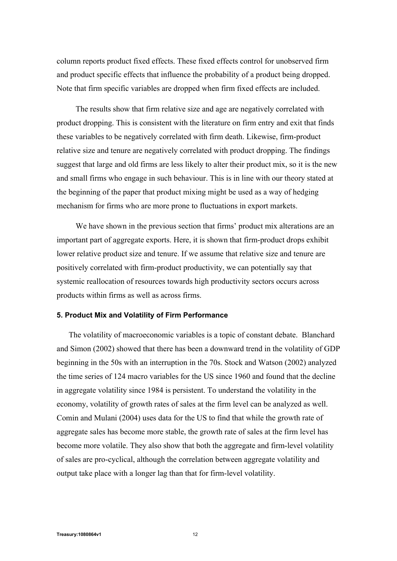column reports product fixed effects. These fixed effects control for unobserved firm and product specific effects that influence the probability of a product being dropped. Note that firm specific variables are dropped when firm fixed effects are included.

The results show that firm relative size and age are negatively correlated with product dropping. This is consistent with the literature on firm entry and exit that finds these variables to be negatively correlated with firm death. Likewise, firm-product relative size and tenure are negatively correlated with product dropping. The findings suggest that large and old firms are less likely to alter their product mix, so it is the new and small firms who engage in such behaviour. This is in line with our theory stated at the beginning of the paper that product mixing might be used as a way of hedging mechanism for firms who are more prone to fluctuations in export markets.

We have shown in the previous section that firms' product mix alterations are an important part of aggregate exports. Here, it is shown that firm-product drops exhibit lower relative product size and tenure. If we assume that relative size and tenure are positively correlated with firm-product productivity, we can potentially say that systemic reallocation of resources towards high productivity sectors occurs across products within firms as well as across firms.

#### **5. Product Mix and Volatility of Firm Performance**

The volatility of macroeconomic variables is a topic of constant debate. Blanchard and Simon (2002) showed that there has been a downward trend in the volatility of GDP beginning in the 50s with an interruption in the 70s. Stock and Watson (2002) analyzed the time series of 124 macro variables for the US since 1960 and found that the decline in aggregate volatility since 1984 is persistent. To understand the volatility in the economy, volatility of growth rates of sales at the firm level can be analyzed as well. Comin and Mulani (2004) uses data for the US to find that while the growth rate of aggregate sales has become more stable, the growth rate of sales at the firm level has become more volatile. They also show that both the aggregate and firm-level volatility of sales are pro-cyclical, although the correlation between aggregate volatility and output take place with a longer lag than that for firm-level volatility.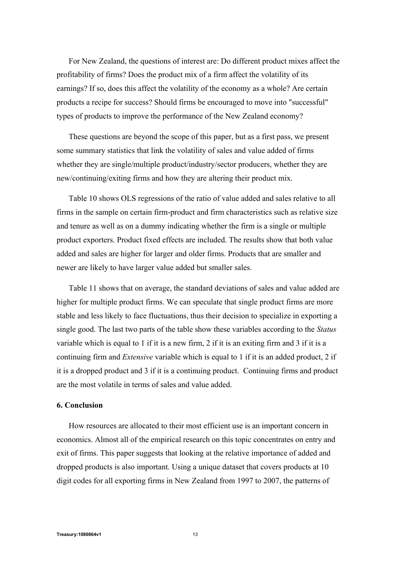For New Zealand, the questions of interest are: Do different product mixes affect the profitability of firms? Does the product mix of a firm affect the volatility of its earnings? If so, does this affect the volatility of the economy as a whole? Are certain products a recipe for success? Should firms be encouraged to move into "successful" types of products to improve the performance of the New Zealand economy?

These questions are beyond the scope of this paper, but as a first pass, we present some summary statistics that link the volatility of sales and value added of firms whether they are single/multiple product/industry/sector producers, whether they are new/continuing/exiting firms and how they are altering their product mix.

Table 10 shows OLS regressions of the ratio of value added and sales relative to all firms in the sample on certain firm-product and firm characteristics such as relative size and tenure as well as on a dummy indicating whether the firm is a single or multiple product exporters. Product fixed effects are included. The results show that both value added and sales are higher for larger and older firms. Products that are smaller and newer are likely to have larger value added but smaller sales.

Table 11 shows that on average, the standard deviations of sales and value added are higher for multiple product firms. We can speculate that single product firms are more stable and less likely to face fluctuations, thus their decision to specialize in exporting a single good. The last two parts of the table show these variables according to the *Status*  variable which is equal to 1 if it is a new firm, 2 if it is an exiting firm and 3 if it is a continuing firm and *Extensive* variable which is equal to 1 if it is an added product, 2 if it is a dropped product and 3 if it is a continuing product. Continuing firms and product are the most volatile in terms of sales and value added.

#### **6. Conclusion**

How resources are allocated to their most efficient use is an important concern in economics. Almost all of the empirical research on this topic concentrates on entry and exit of firms. This paper suggests that looking at the relative importance of added and dropped products is also important. Using a unique dataset that covers products at 10 digit codes for all exporting firms in New Zealand from 1997 to 2007, the patterns of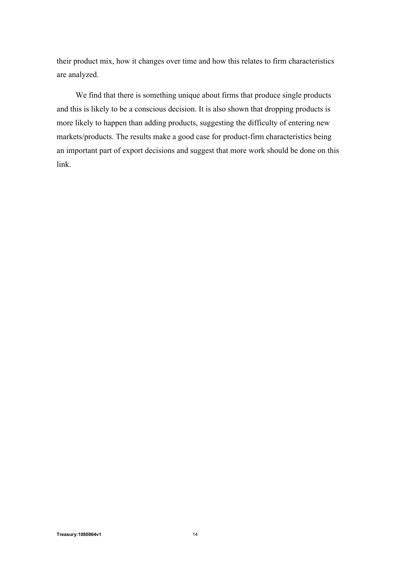their product mix, how it changes over time and how this relates to firm characteristics are analyzed.

We find that there is something unique about firms that produce single products and this is likely to be a conscious decision. It is also shown that dropping products is more likely to happen than adding products, suggesting the difficulty of entering new markets/products. The results make a good case for product-firm characteristics being an important part of export decisions and suggest that more work should be done on this link.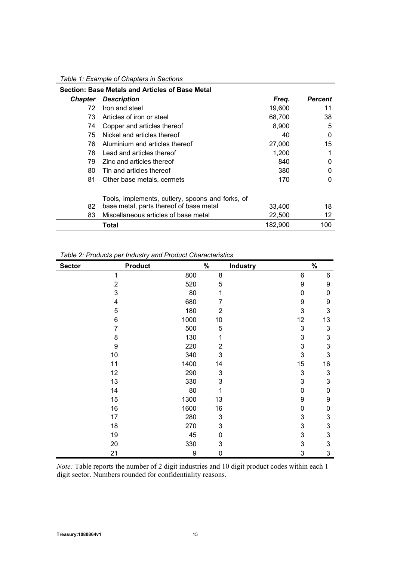| Table 1: Example of Chapters in Sections |  |
|------------------------------------------|--|
|                                          |  |

|                | Section: Base Metals and Articles of Base Metal  |         |         |
|----------------|--------------------------------------------------|---------|---------|
| <b>Chapter</b> | <b>Description</b>                               | Freq.   | Percent |
| 72             | Iron and steel                                   | 19,600  | 11      |
| 73             | Articles of iron or steel                        | 68,700  | 38      |
| 74             | Copper and articles thereof                      | 8,900   | 5       |
| 75             | Nickel and articles thereof                      | 40      | 0       |
| 76             | Aluminium and articles thereof                   | 27,000  | 15      |
| 78             | Lead and articles thereof                        | 1,200   |         |
| 79             | Zinc and articles thereof                        | 840     | 0       |
| 80             | Tin and articles thereof                         | 380     | 0       |
| 81             | Other base metals, cermets                       | 170     | 0       |
|                | Tools, implements, cutlery, spoons and forks, of |         |         |
| 82             | base metal, parts thereof of base metal          | 33,400  | 18      |
| 83             | Miscellaneous articles of base metal             | 22,500  | 12      |
|                | Total                                            | 182.900 | 100     |

*Table 2: Products per Industry and Product Characteristics*

| <b>Sector</b> | <b>Product</b> |      | $\%$                      | <b>Industry</b> |    | $\%$ |
|---------------|----------------|------|---------------------------|-----------------|----|------|
|               | 1              | 800  | 8                         |                 | 6  | 6    |
|               | $\overline{2}$ | 520  | 5                         |                 | 9  | 9    |
|               | 3              | 80   | 1                         |                 | 0  | 0    |
|               | 4              | 680  | 7                         |                 | 9  | 9    |
|               | 5              | 180  | $\overline{2}$            |                 | 3  | 3    |
|               | 6              | 1000 | 10                        |                 | 12 | 13   |
|               | $\overline{7}$ | 500  | 5                         |                 | 3  | 3    |
|               | 8              | 130  | 1                         |                 | 3  | 3    |
|               | 9              | 220  | $\overline{2}$            |                 | 3  | 3    |
|               | 10             | 340  | 3                         |                 | 3  | 3    |
|               | 11             | 1400 | 14                        |                 | 15 | 16   |
|               | 12             | 290  | 3                         |                 | 3  | 3    |
|               | 13             | 330  | 3                         |                 | 3  | 3    |
|               | 14             | 80   | 1                         |                 | 0  | 0    |
|               | 15             | 1300 | 13                        |                 | 9  | 9    |
|               | 16             | 1600 | 16                        |                 | 0  | 0    |
|               | 17             | 280  | $\ensuremath{\mathsf{3}}$ |                 | 3  | 3    |
|               | 18             | 270  | 3                         |                 | 3  | 3    |
|               | 19             | 45   | 0                         |                 | 3  | 3    |
|               | 20             | 330  | 3                         |                 | 3  | 3    |
|               | 21             | 9    | $\mathbf 0$               |                 | 3  | 3    |

*Note:* Table reports the number of 2 digit industries and 10 digit product codes within each 1 digit sector. Numbers rounded for confidentiality reasons.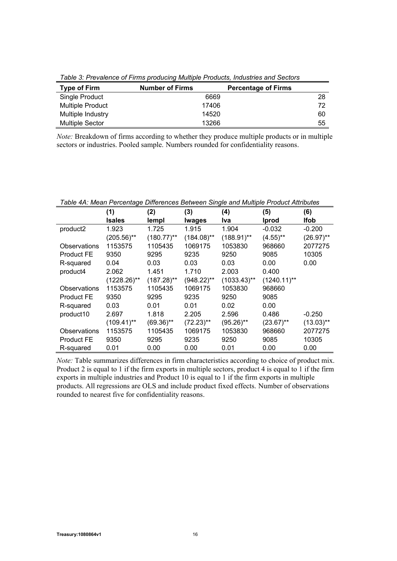| . which we have the company of the company interesting the company interest with we concern |                        |                            |  |  |  |
|---------------------------------------------------------------------------------------------|------------------------|----------------------------|--|--|--|
| <b>Type of Firm</b>                                                                         | <b>Number of Firms</b> | <b>Percentage of Firms</b> |  |  |  |
| Single Product                                                                              | 6669                   | 28                         |  |  |  |
| <b>Multiple Product</b>                                                                     | 17406                  | 72                         |  |  |  |
| Multiple Industry                                                                           | 14520                  | 60                         |  |  |  |
| <b>Multiple Sector</b>                                                                      | 13266                  | 55                         |  |  |  |

*Table 3: Prevalence of Firms producing Multiple Products, Industries and Sectors*

*Note:* Breakdown of firms according to whether they produce multiple products or in multiple sectors or industries. Pooled sample. Numbers rounded for confidentiality reasons.

| Table 4A: Mean Percentage Differences Between Single and Multiple Product Attributes |                |               |               |                |                |              |
|--------------------------------------------------------------------------------------|----------------|---------------|---------------|----------------|----------------|--------------|
|                                                                                      | (1)            | (2)           | (3)           | (4)            | (5)            | (6)          |
|                                                                                      | <b>Isales</b>  | lempl         | lwages        | Iva            | <b>Iprod</b>   | <b>Ifob</b>  |
| product2                                                                             | 1.923          | 1.725         | 1.915         | 1.904          | $-0.032$       | $-0.200$     |
|                                                                                      | $(205.56)$ **  | $(180.77)$ ** | $(184.08)$ ** | $(188.91)$ **  | $(4.55)$ **    | $(26.97)$ ** |
| Observations                                                                         | 1153575        | 1105435       | 1069175       | 1053830        | 968660         | 2077275      |
| <b>Product FE</b>                                                                    | 9350           | 9295          | 9235          | 9250           | 9085           | 10305        |
| R-squared                                                                            | 0.04           | 0.03          | 0.03          | 0.03           | 0.00           | 0.00         |
| product4                                                                             | 2.062          | 1.451         | 1.710         | 2.003          | 0.400          |              |
|                                                                                      | $(1228.26)$ ** | $(187.28)$ ** | $(948.22)$ ** | $(1033.43)$ ** | $(1240.11)$ ** |              |
| Observations                                                                         | 1153575        | 1105435       | 1069175       | 1053830        | 968660         |              |
| Product FE                                                                           | 9350           | 9295          | 9235          | 9250           | 9085           |              |
| R-squared                                                                            | 0.03           | 0.01          | 0.01          | 0.02           | 0.00           |              |
| product10                                                                            | 2.697          | 1.818         | 2.205         | 2.596          | 0.486          | $-0.250$     |
|                                                                                      | $(109.41)$ **  | $(69.36)$ **  | $(72.23)$ **  | $(95.26)$ **   | $(23.67)$ **   | $(13.03)$ ** |
| Observations                                                                         | 1153575        | 1105435       | 1069175       | 1053830        | 968660         | 2077275      |
| <b>Product FE</b>                                                                    | 9350           | 9295          | 9235          | 9250           | 9085           | 10305        |
| R-squared                                                                            | 0.01           | 0.00          | 0.00          | 0.01           | 0.00           | 0.00         |

*Note:* Table summarizes differences in firm characteristics according to choice of product mix. Product 2 is equal to 1 if the firm exports in multiple sectors, product 4 is equal to 1 if the firm exports in multiple industries and Product 10 is equal to 1 if the firm exports in multiple products. All regressions are OLS and include product fixed effects. Number of observations rounded to nearest five for confidentiality reasons.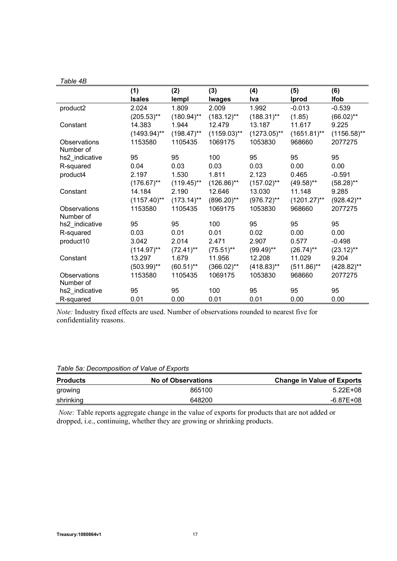| Table 4B |  |
|----------|--|
|----------|--|

|                                  | (1)            | (2)           | (3)            | (4)            | (5)            | (6)            |
|----------------------------------|----------------|---------------|----------------|----------------|----------------|----------------|
|                                  | <b>Isales</b>  | lempl         | <b>Iwages</b>  | Iva            | Iprod          | <b>Ifob</b>    |
| product2                         | 2.024          | 1.809         | 2.009          | 1.992          | $-0.013$       | $-0.539$       |
|                                  | $(205.53)$ **  | $(180.94)$ ** | $(183.12)$ **  | $(188.31)$ **  | (1.85)         | $(66.02)$ **   |
| Constant                         | 14.383         | 1.944         | 12.479         | 13.187         | 11.617         | 9.225          |
|                                  | $(1493.94)$ ** | $(198.47)$ ** | $(1159.03)$ ** | $(1273.05)$ ** | $(1651.81)$ ** | $(1156.58)$ ** |
| Observations<br>Number of        | 1153580        | 1105435       | 1069175        | 1053830        | 968660         | 2077275        |
| hs2_indicative                   | 95             | 95            | 100            | 95             | 95             | 95             |
| R-squared                        | 0.04           | 0.03          | 0.03           | 0.03           | 0.00           | 0.00           |
| product4                         | 2.197          | 1.530         | 1.811          | 2.123          | 0.465          | $-0.591$       |
|                                  | $(176.67)$ **  | $(119.45)$ ** | $(126.86)$ **  | $(157.02)$ **  | $(49.58)$ **   | $(58.28)$ **   |
| Constant                         | 14.184         | 2.190         | 12.646         | 13.030         | 11.148         | 9.285          |
|                                  | $(1157.40)$ ** | $(173.14)$ ** | $(896.20)$ **  | $(976.72)$ **  | $(1201.27)$ ** | $(928.42)$ **  |
| <b>Observations</b><br>Number of | 1153580        | 1105435       | 1069175        | 1053830        | 968660         | 2077275        |
| hs2_indicative                   | 95             | 95            | 100            | 95             | 95             | 95             |
| R-squared                        | 0.03           | 0.01          | 0.01           | 0.02           | 0.00           | 0.00           |
| product10                        | 3.042          | 2.014         | 2.471          | 2.907          | 0.577          | $-0.498$       |
|                                  | $(114.97)$ **  | $(72.41)$ **  | $(75.51)$ **   | $(99.49)$ **   | $(26.74)$ **   | $(23.12)$ **   |
| Constant                         | 13.297         | 1.679         | 11.956         | 12.208         | 11.029         | 9.204          |
|                                  | $(503.99)$ **  | $(60.51)$ **  | $(366.02)$ **  | $(418.83)$ **  | $(511.86)$ **  | $(428.82)$ **  |
| Observations                     | 1153580        | 1105435       | 1069175        | 1053830        | 968660         | 2077275        |
| Number of                        |                |               |                |                |                |                |
| hs2_indicative                   | 95             | 95            | 100            | 95             | 95             | 95             |
| R-squared                        | 0.01           | 0.00          | 0.01           | 0.01           | 0.00           | 0.00           |

*Note:* Industry fixed effects are used. Number of observations rounded to nearest five for confidentiality reasons.

| Table 5a: Decomposition of Value of Exports |
|---------------------------------------------|
|---------------------------------------------|

| <b>Products</b> | <b>No of Observations</b> | <b>Change in Value of Exports</b> |
|-----------------|---------------------------|-----------------------------------|
| growing         | 865100                    | 5.22E+08                          |
| shrinking       | 648200                    | -6.87E+08                         |

 *Note:* Table reports aggregate change in the value of exports for products that are not added or dropped, i.e., continuing, whether they are growing or shrinking products.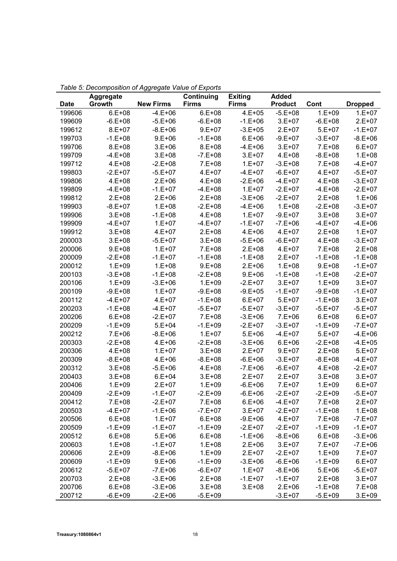|        | <b>Aggregate</b> |                  | Continuing   | <b>Exiting</b> | <b>Added</b>   |             |                |
|--------|------------------|------------------|--------------|----------------|----------------|-------------|----------------|
| Date   | Growth           | <b>New Firms</b> | <b>Firms</b> | <b>Firms</b>   | <b>Product</b> | Cont        | <b>Dropped</b> |
| 199606 | $6.E + 08$       | $-4.E+06$        | $6.E + 08$   | $4.E + 05$     | $-5.E+08$      | $1.E + 09$  | $1.E + 07$     |
| 199609 | $-6.E+08$        | $-5.E+06$        | $-6.E+08$    | $-1.E + 06$    | $3.E+07$       | $-6.E+08$   | $2.E+07$       |
| 199612 | $8.E + 07$       | $-8.E+06$        | $9.E+07$     | $-3.E+05$      | $2.E+07$       | $5.E+07$    | $-1.E + 07$    |
| 199703 | $-1.E + 08$      | $9.E + 06$       | $-1.E+08$    | $6.E + 06$     | $-9.E+07$      | $-3.E+07$   | $-8.E + 06$    |
| 199706 | $8.E + 08$       | $3.E + 06$       | $8.E + 08$   | $-4.E+06$      | $3.E + 07$     | $7.E+08$    | $6.E + 07$     |
| 199709 | $-4.E+08$        | $3.E + 08$       | $-7.E+08$    | $3.E + 07$     | $4.E + 08$     | $-8.E+08$   | $1.E + 08$     |
| 199712 | 4.E+08           | $-2.E+08$        | 7.E+08       | $1.E+07$       | $-3.E+08$      | $7.E+08$    | $-4.E+07$      |
| 199803 | $-2.E+07$        | $-5.E+07$        | 4.E+07       | $-4.E+07$      | $-6.E+07$      | $4.E + 07$  | $-5.E+07$      |
| 199806 | $4.E + 08$       | $2.E+06$         | $4.E + 08$   | $-2.E+06$      | $-4.E+07$      | $4.E + 08$  | $-3.E + 07$    |
| 199809 | $-4.E+08$        | $-1.E + 07$      | $-4.E+08$    | $1.E + 07$     | $-2.E+07$      | $-4.E+08$   | $-2.E+07$      |
| 199812 | $2.E+08$         | $2.E+06$         | $2.E+08$     | $-3.E + 06$    | $-2.E+07$      | $2.E+08$    | $1.E + 06$     |
| 199903 | $-8.E+07$        | $1.E + 08$       | $-2.E+08$    | $-4.E+06$      | $1.E + 08$     | $-2.E+08$   | $-3.E + 07$    |
| 199906 | $3.E + 08$       | $-1.E + 08$      | $4.E + 08$   | $1.E + 07$     | $-9.E + 07$    | $3.E + 08$  | $3.E + 07$     |
| 199909 | $-4.E+07$        | $1.E + 07$       | $-4.E+07$    | $-1.E + 07$    | $-7.E+06$      | $-4.E+07$   | $-4.E+06$      |
| 199912 | $3.E+08$         | $4.E + 07$       | $2.E+08$     | 4.E+06         | $4.E+07$       | $2.E+08$    | $1.E+07$       |
| 200003 | $3.E+08$         | $-5.E+07$        | $3.E + 08$   | $-5.E+06$      | $-6.E+07$      | $4.E + 08$  | $-3.E + 07$    |
| 200006 | $9.E + 08$       | $1.E + 07$       | $7.E+08$     | $2.E+08$       | $4.E+07$       | $7.E+08$    | $2.E+08$       |
| 200009 | $-2.E+08$        | $-1.E + 07$      | $-1.E+08$    | $-1.E+08$      | $2.E+07$       | $-1.E + 08$ | $-1.E + 08$    |
| 200012 | $1.E+09$         | $1.E + 08$       | $9.E+08$     | $2.E+06$       | $1.E + 08$     | $9.E + 08$  | $-1.E + 07$    |
| 200103 | $-3.E+08$        | $-1.E + 08$      | $-2.E+08$    | $9.E + 06$     | $-1.E+08$      | $-1.E + 08$ | $-2.E+07$      |
| 200106 | $1.E + 09$       | $-3.E + 06$      | $1.E+09$     | $-2.E+07$      | $3.E + 07$     | $1.E + 09$  | $3.E + 07$     |
| 200109 | $-9.E + 08$      | $1.E + 07$       | $-9.E + 08$  | $-9.E + 05$    | $-1.E+07$      | $-9.E + 08$ | $-1.E + 07$    |
| 200112 | $-4.E+07$        | $4.E+07$         | $-1.E+08$    | $6.E + 07$     | $5.E+07$       | $-1.E+08$   | $3.E+07$       |
| 200203 | $-1.E + 08$      | $-4.E+07$        | $-5.E+07$    | $-5.E+07$      | $-3.E+07$      | $-5.E+07$   | $-5.E+07$      |
| 200206 | $6.E + 08$       | $-2.E+07$        | $7.E+08$     | $-3.E+06$      | $7.E+06$       | $6.E + 08$  | $6.E + 07$     |
| 200209 | $-1.E+09$        | $5.E+04$         | $-1.E+09$    | $-2.E+07$      | $-3.E+07$      | $-1.E+09$   | $-7.E + 07$    |
| 200212 | $7.E+06$         | $-8.E+06$        | $1.E+07$     | $5.E+06$       | $-4.E+07$      | $5.E+07$    | $-4.E + 06$    |
| 200303 | $-2.E + 08$      | $4.E + 06$       | $-2.E+08$    | $-3.E + 06$    | $6.E + 06$     | $-2.E+08$   | $-4.E+05$      |
| 200306 | $4.E + 08$       | $1.E + 07$       | $3.E+08$     | $2.E+07$       | $9.E + 07$     | $2.E+08$    | $5.E+07$       |
| 200309 | $-8.E + 08$      | $4.E + 06$       | $-8.E+08$    | $-6.E+06$      | $-3.E+07$      | $-8.E+08$   | $-4.E+07$      |
| 200312 | $3.E+08$         | $-5.E+06$        | 4.E+08       | $-7.E+06$      | $-6.E+07$      | 4.E+08      | $-2.E+07$      |
| 200403 | $3.E+08$         | $6.E + 04$       | $3.E + 08$   | 2.E+07         | $2.E+07$       | $3.E + 08$  | $3.E+07$       |
| 200406 | $1.E+09$         | $2.E+07$         | $1.E+09$     | $-6.E+06$      | $7.E+07$       | $1.E + 09$  | $6.E + 07$     |
| 200409 | $-2.E+09$        | $-1.E + 07$      | $-2.E+09$    | $-6.E+06$      | $-2.E+07$      | $-2.E+09$   | $-5.E+07$      |
| 200412 | $7.E+08$         | $-2.E+07$        | $7.E+08$     | $6.E + 06$     | $-4.E+07$      | $7.E+08$    | $2.E+07$       |
| 200503 | $-4.E+07$        | $-1.E+06$        | $-7.E+07$    | $3.E+07$       | $-2.E+07$      | $-1.E+08$   | $1.E+08$       |
| 200506 | $6.E + 08$       | $1.E+07$         | $6.E+08$     | $-9.E+06$      | $4.E+07$       | 7.E+08      | $-7.E+07$      |
| 200509 | $-1.E+09$        | $-1.E+07$        | $-1.E+09$    | $-2.E+07$      | $-2.E+07$      | $-1.E+09$   | $-1.E+07$      |
| 200512 | $6.E + 08$       | $5.E+06$         | $6.E+08$     | $-1.E+06$      | $-8.E+06$      | $6.E+08$    | $-3.E+06$      |
| 200603 | $1.E+08$         | $-1.E + 07$      | $1.E+08$     | $2.E+06$       | $3.E + 07$     | 7.E+07      | $-7.E+06$      |
| 200606 | $2.E+09$         | $-8.E+06$        | $1.E+09$     | $2.E+07$       | $-2.E+07$      | $1.E+09$    | 7.E+07         |
| 200609 | $-1.E+09$        | $9.E + 06$       | $-1.E+09$    | $-3.E+06$      | $-6.E+06$      | $-1.E+09$   | $6.E + 07$     |
| 200612 | $-5.E+07$        | $-7.E+06$        | $-6.E+07$    | $1.E+07$       | $-8.E+06$      | $5.E+06$    | $-5.E+07$      |
| 200703 | $2.E+08$         | $-3.E+06$        | $2.E+08$     | $-1.E+07$      | $-1.E+07$      | $2.E+08$    | $3.E+07$       |
| 200706 | $6.E + 08$       | $-3.E+06$        | $3.E+08$     | $3.E + 08$     | $2.E+06$       | $-1.E + 08$ | 7.E+08         |
| 200712 | $-6.E+09$        | $-2.E+06$        | $-5.E+09$    |                | $-3.E + 07$    | $-5.E+09$   | $3.E+09$       |

*Table 5: Decomposition of Aggregate Value of Exports*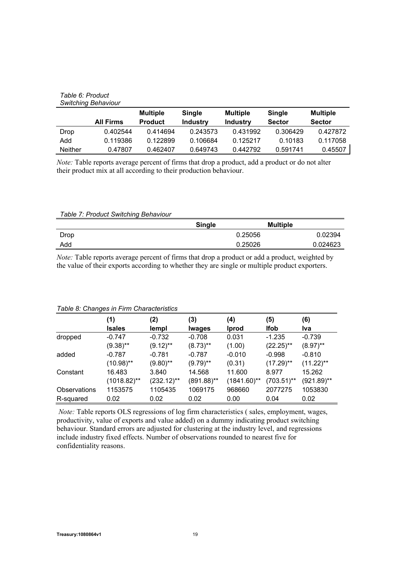#### *Table 6: Product Switching Behaviour*

|                | <b>All Firms</b> | <b>Multiple</b><br><b>Product</b> | <b>Single</b><br><b>Industry</b> | <b>Multiple</b><br><b>Industry</b> | Single<br><b>Sector</b> | <b>Multiple</b><br><b>Sector</b> |
|----------------|------------------|-----------------------------------|----------------------------------|------------------------------------|-------------------------|----------------------------------|
| Drop           | 0.402544         | 0.414694                          | 0.243573                         | 0.431992                           | 0.306429                | 0.427872                         |
| Add            | 0.119386         | 0.122899                          | 0.106684                         | 0.125217                           | 0.10183                 | 0.117058                         |
| <b>Neither</b> | 0.47807          | 0.462407                          | 0.649743                         | 0.442792                           | 0.591741                | 0.45507                          |

*Note:* Table reports average percent of firms that drop a product, add a product or do not alter their product mix at all according to their production behaviour.

#### *Table 7: Product Switching Behaviour*

|      | <b>Single</b> | <b>Multiple</b> |
|------|---------------|-----------------|
| Drop | 0.25056       | 0.02394         |
| Add  | 0.25026       | 0.024623        |

*Note:* Table reports average percent of firms that drop a product or add a product, weighted by the value of their exports according to whether they are single or multiple product exporters.

| rapic of original in mini-origination is not |                |               |               |                |               |               |
|----------------------------------------------|----------------|---------------|---------------|----------------|---------------|---------------|
|                                              | (1)            | (2)           | (3)           | (4)            | (5)           | (6)           |
|                                              | Isales         | lempl         | <b>Iwages</b> | Iprod          | <b>Ifob</b>   | lva           |
| dropped                                      | $-0.747$       | $-0.732$      | $-0.708$      | 0.031          | $-1.235$      | $-0.739$      |
|                                              | $(9.38)$ **    | $(9.12)$ **   | $(8.73)$ **   | (1.00)         | $(22.25)$ **  | $(8.97)$ **   |
| added                                        | $-0.787$       | $-0.781$      | $-0.787$      | $-0.010$       | $-0.998$      | $-0.810$      |
|                                              | $(10.98)$ **   | $(9.80)$ **   | $(9.79)$ **   | (0.31)         | $(17.29)$ **  | $(11.22)$ **  |
| Constant                                     | 16.483         | 3.840         | 14.568        | 11.600         | 8.977         | 15.262        |
|                                              | $(1018.82)$ ** | $(232.12)$ ** | $(891.88)$ ** | $(1841.60)$ ** | $(703.51)$ ** | $(921.89)$ ** |
| <b>Observations</b>                          | 1153575        | 1105435       | 1069175       | 968660         | 2077275       | 1053830       |
| R-squared                                    | 0.02           | 0.02          | 0.02          | 0.00           | 0.04          | 0.02          |

#### *Table 8: Changes in Firm Characteristics*

 *Note:* Table reports OLS regressions of log firm characteristics ( sales, employment, wages, productivity, value of exports and value added) on a dummy indicating product switching behaviour. Standard errors are adjusted for clustering at the industry level, and regressions include industry fixed effects. Number of observations rounded to nearest five for confidentiality reasons.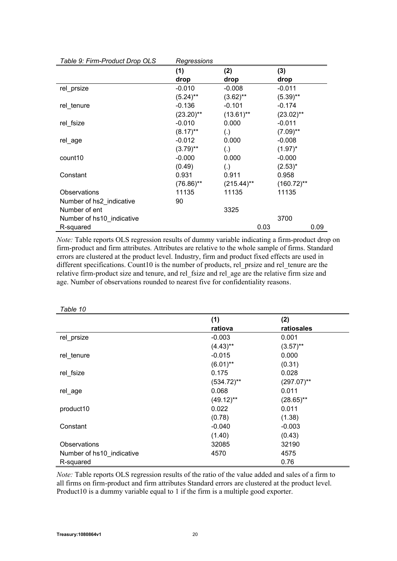| Table 9: Firm-Product Drop OLS | Regressions  |               |               |
|--------------------------------|--------------|---------------|---------------|
|                                | (1)          | (2)           | (3)           |
|                                | drop         | drop          | drop          |
| rel_prsize                     | $-0.010$     | $-0.008$      | $-0.011$      |
|                                | $(5.24)$ **  | $(3.62)$ **   | $(5.39)$ **   |
| rel_tenure                     | $-0.136$     | $-0.101$      | $-0.174$      |
|                                | $(23.20)$ ** | $(13.61)$ **  | $(23.02)$ **  |
| rel fsize                      | $-0.010$     | 0.000         | $-0.011$      |
|                                | $(8.17)$ **  | (.)           | $(7.09)$ **   |
| rel_age                        | $-0.012$     | 0.000         | $-0.008$      |
|                                | $(3.79)$ **  | (.)           | $(1.97)^*$    |
| count <sub>10</sub>            | $-0.000$     | 0.000         | $-0.000$      |
|                                | (0.49)       | (.)           | $(2.53)^{*}$  |
| Constant                       | 0.931        | 0.911         | 0.958         |
|                                | $(76.86)$ ** | $(215.44)$ ** | $(160.72)$ ** |
| Observations                   | 11135        | 11135         | 11135         |
| Number of hs2 indicative       | 90           |               |               |
| Number of ent                  |              | 3325          |               |
| Number of hs10_indicative      |              |               | 3700          |
| R-squared                      |              | 0.03          | 0.09          |

*Note:* Table reports OLS regression results of dummy variable indicating a firm-product drop on firm-product and firm attributes. Attributes are relative to the whole sample of firms. Standard errors are clustered at the product level. Industry, firm and product fixed effects are used in different specifications. Count10 is the number of products, rel\_prsize and rel\_tenure are the relative firm-product size and tenure, and rel\_fsize and rel\_age are the relative firm size and age. Number of observations rounded to nearest five for confidentiality reasons.

| Table 10                  |               |               |
|---------------------------|---------------|---------------|
|                           | (1)           | (2)           |
|                           | ratiova       | ratiosales    |
| rel_prsize                | $-0.003$      | 0.001         |
|                           | $(4.43)$ **   | $(3.57)$ **   |
| rel_tenure                | $-0.015$      | 0.000         |
|                           | $(6.01)$ **   | (0.31)        |
| rel_fsize                 | 0.175         | 0.028         |
|                           | $(534.72)$ ** | $(297.07)$ ** |
| rel_age                   | 0.068         | 0.011         |
|                           | $(49.12)$ **  | $(28.65)$ **  |
| product10                 | 0.022         | 0.011         |
|                           | (0.78)        | (1.38)        |
| Constant                  | $-0.040$      | $-0.003$      |
|                           | (1.40)        | (0.43)        |
| Observations              | 32085         | 32190         |
| Number of hs10_indicative | 4570          | 4575          |
| R-squared                 |               | 0.76          |

*Note:* Table reports OLS regression results of the ratio of the value added and sales of a firm to all firms on firm-product and firm attributes Standard errors are clustered at the product level. Product10 is a dummy variable equal to 1 if the firm is a multiple good exporter.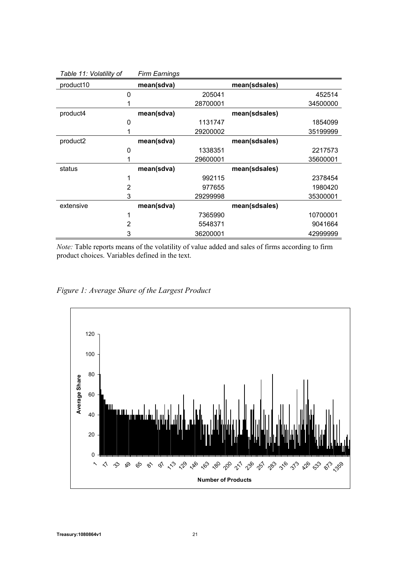| $1$ upit $11.$ Yvialinty of |   | .          |          |               |          |
|-----------------------------|---|------------|----------|---------------|----------|
| product10                   |   | mean(sdva) |          | mean(sdsales) |          |
|                             | 0 |            | 205041   |               | 452514   |
|                             |   |            | 28700001 |               | 34500000 |
| product4                    |   | mean(sdva) |          | mean(sdsales) |          |
|                             | 0 |            | 1131747  |               | 1854099  |
|                             |   |            | 29200002 |               | 35199999 |
| product2                    |   | mean(sdva) |          | mean(sdsales) |          |
|                             | 0 |            | 1338351  |               | 2217573  |
|                             |   |            | 29600001 |               | 35600001 |
| status                      |   | mean(sdva) |          | mean(sdsales) |          |
|                             |   |            | 992115   |               | 2378454  |
|                             | 2 |            | 977655   |               | 1980420  |
|                             | 3 |            | 29299998 |               | 35300001 |
| extensive                   |   | mean(sdva) |          | mean(sdsales) |          |
|                             |   |            | 7365990  |               | 10700001 |
|                             | 2 |            | 5548371  |               | 9041664  |
|                             | 3 |            | 36200001 |               | 42999999 |

*Table 11: Volatility of Firm Earnings*

*Note:* Table reports means of the volatility of value added and sales of firms according to firm product choices. Variables defined in the text.



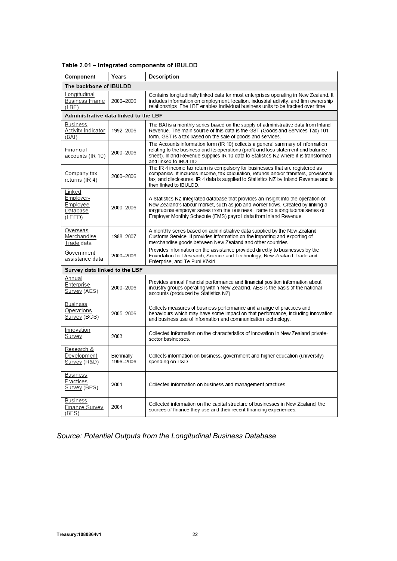| Component                                             | Years                         | Description                                                                                                                                                                                                                                                                                                                    |  |  |
|-------------------------------------------------------|-------------------------------|--------------------------------------------------------------------------------------------------------------------------------------------------------------------------------------------------------------------------------------------------------------------------------------------------------------------------------|--|--|
| The backbone of IBULDD                                |                               |                                                                                                                                                                                                                                                                                                                                |  |  |
| Longitudinal<br><b>Business Frame</b><br>(LBF)        | 2000-2006                     | Contains longitudinally linked data for most enterprises operating in New Zealand. It<br>includes information on employment, location, industrial activity, and firm ownership<br>relationships. The LBF enables individual business units to be tracked over time.                                                            |  |  |
| Administrative data linked to the LBF                 |                               |                                                                                                                                                                                                                                                                                                                                |  |  |
| Business<br><b>Activity Indicator</b><br>(BAI)        | 1992-2006                     | The BAI is a monthly series based on the supply of administrative data from Inland<br>Revenue. The main source of this data is the GST (Goods and Services Tax) 101<br>form. GST is a tax based on the sale of goods and services.                                                                                             |  |  |
| Financial<br>accounts (IR 10)                         | 2000-2006                     | The Accounts information form (IR 10) collects a general summary of information<br>relating to the business and its operations (profit and loss statement and balance<br>sheet). Inland Revenue supplies IR 10 data to Statistics NZ where it is transformed<br>and linked to IBULDD.                                          |  |  |
| Company tax<br>returns (IR 4)                         | 2000-2006                     | The IR 4 income tax return is compulsory for businesses that are registered as<br>companies. It includes income, tax calculation, refunds and/or transfers, provisional<br>tax, and disclosures. IR 4 data is supplied to Statistics NZ by Inland Revenue and is<br>then linked to IBULDD.                                     |  |  |
| Linked<br>Employer-<br>Emplovee<br>Database<br>(LEED) | 2000-2006                     | A Statistics NZ integrated database that provides an insight into the operation of<br>New Zealand's labour market, such as job and worker flows. Created by linking a<br>longitudinal employer series from the Business Frame to a longitudinal series of<br>Employer Monthly Schedule (EMS) payroll data from Inland Revenue. |  |  |
| Overseas<br>Merchandise<br>Trade data                 | 1988-2007                     | A monthly series based on administrative data supplied by the New Zealand<br>Customs Service. It provides information on the importing and exporting of<br>merchandise goods between New Zealand and other countries.                                                                                                          |  |  |
| Government<br>assistance data                         | 2000-2006                     | Provides information on the assistance provided directly to businesses by the<br>Foundation for Research, Science and Technology, New Zealand Trade and<br>Enterprise, and Te Puni Kōkiri.                                                                                                                                     |  |  |
|                                                       | Survey data linked to the LBF |                                                                                                                                                                                                                                                                                                                                |  |  |
| Annual<br>Enterprise<br>Survey (AES)                  | 2000-2006                     | Provides annual financial performance and financial position information about<br>industry groups operating within New Zealand. AES is the basis of the national<br>accounts (produced by Statistics NZ).                                                                                                                      |  |  |
| <b>Business</b><br>Operations<br>Survey (BOS)         | 2005-2006                     | Collects measures of business performance and a range of practices and<br>behaviours which may have some impact on that performance, including innovation<br>and business use of information and communication technology.                                                                                                     |  |  |
| Innovation<br>Survey                                  | 2003                          | Collected information on the characteristics of innovation in New Zealand private-<br>sector businesses.                                                                                                                                                                                                                       |  |  |
| Research &<br>Development<br>Survey (R&D)             | Biennially<br>1996-2006       | Collects information on business, government and higher education (university)<br>spending on R&D.                                                                                                                                                                                                                             |  |  |
| Business<br>Practices<br>Survey (BPS)                 | 2001                          | Collected information on business and management practices.                                                                                                                                                                                                                                                                    |  |  |
| Business<br>Finance Survey<br>(BFS)                   | 2004                          | Collected information on the capital structure of businesses in New Zealand, the<br>sources of finance they use and their recent financing experiences.                                                                                                                                                                        |  |  |

#### Table 2.01 - Integrated components of IBULDD

*Source: Potential Outputs from the Longitudinal Business Database*